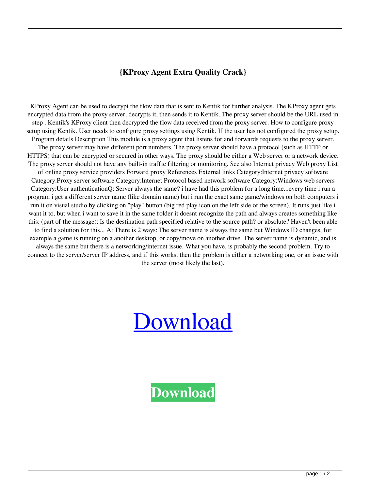## **{KProxy Agent Extra Quality Crack}**

KProxy Agent can be used to decrypt the flow data that is sent to Kentik for further analysis. The KProxy agent gets encrypted data from the proxy server, decrypts it, then sends it to Kentik. The proxy server should be the URL used in step . Kentik's KProxy client then decrypted the flow data received from the proxy server. How to configure proxy setup using Kentik. User needs to configure proxy settings using Kentik. If the user has not configured the proxy setup. Program details Description This module is a proxy agent that listens for and forwards requests to the proxy server. The proxy server may have different port numbers. The proxy server should have a protocol (such as HTTP or HTTPS) that can be encrypted or secured in other ways. The proxy should be either a Web server or a network device. The proxy server should not have any built-in traffic filtering or monitoring. See also Internet privacy Web proxy List of online proxy service providers Forward proxy References External links Category:Internet privacy software Category:Proxy server software Category:Internet Protocol based network software Category:Windows web servers Category:User authenticationQ: Server always the same? i have had this problem for a long time...every time i run a program i get a different server name (like domain name) but i run the exact same game/windows on both computers i run it on visual studio by clicking on "play" button (big red play icon on the left side of the screen). It runs just like i want it to, but when i want to save it in the same folder it doesnt recognize the path and always creates something like this: (part of the message): Is the destination path specified relative to the source path? or absolute? Haven't been able to find a solution for this... A: There is 2 ways: The server name is always the same but Windows ID changes, for example a game is running on a another desktop, or copy/move on another drive. The server name is dynamic, and is always the same but there is a networking/internet issue. What you have, is probably the second problem. Try to connect to the server/server IP address, and if this works, then the problem is either a networking one, or an issue with the server (most likely the last).

## [Download](https://tlniurl.com/2kyvag)

**[Download](https://tlniurl.com/2kyvag)**